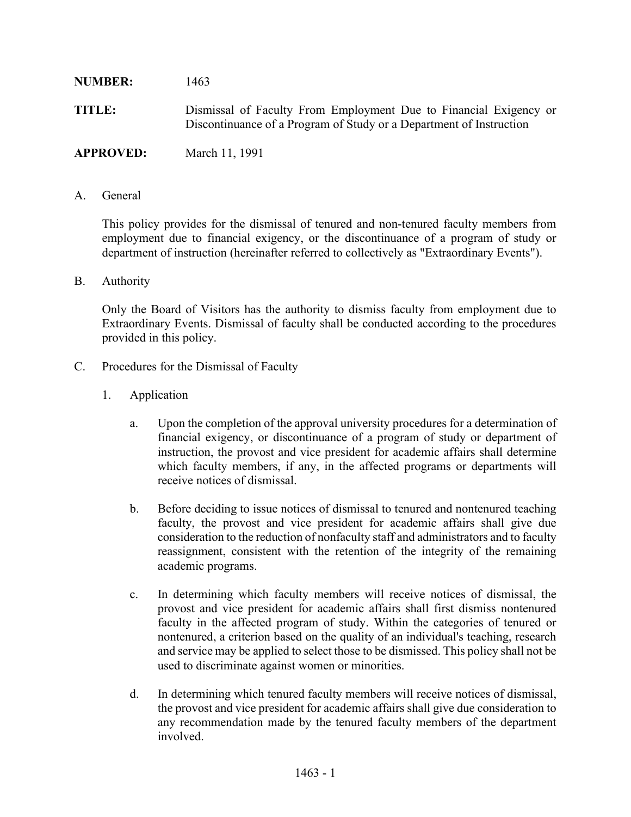## **NUMBER:** 1463 **TITLE:** Dismissal of Faculty From Employment Due to Financial Exigency or Discontinuance of a Program of Study or a Department of Instruction **APPROVED:** March 11, 1991

A. General

This policy provides for the dismissal of tenured and non-tenured faculty members from employment due to financial exigency, or the discontinuance of a program of study or department of instruction (hereinafter referred to collectively as "Extraordinary Events").

B. Authority

Only the Board of Visitors has the authority to dismiss faculty from employment due to Extraordinary Events. Dismissal of faculty shall be conducted according to the procedures provided in this policy.

- C. Procedures for the Dismissal of Faculty
	- 1. Application
		- a. Upon the completion of the approval university procedures for a determination of financial exigency, or discontinuance of a program of study or department of instruction, the provost and vice president for academic affairs shall determine which faculty members, if any, in the affected programs or departments will receive notices of dismissal.
		- b. Before deciding to issue notices of dismissal to tenured and nontenured teaching faculty, the provost and vice president for academic affairs shall give due consideration to the reduction of nonfaculty staff and administrators and to faculty reassignment, consistent with the retention of the integrity of the remaining academic programs.
		- c. In determining which faculty members will receive notices of dismissal, the provost and vice president for academic affairs shall first dismiss nontenured faculty in the affected program of study. Within the categories of tenured or nontenured, a criterion based on the quality of an individual's teaching, research and service may be applied to select those to be dismissed. This policy shall not be used to discriminate against women or minorities.
		- d. In determining which tenured faculty members will receive notices of dismissal, the provost and vice president for academic affairs shall give due consideration to any recommendation made by the tenured faculty members of the department involved.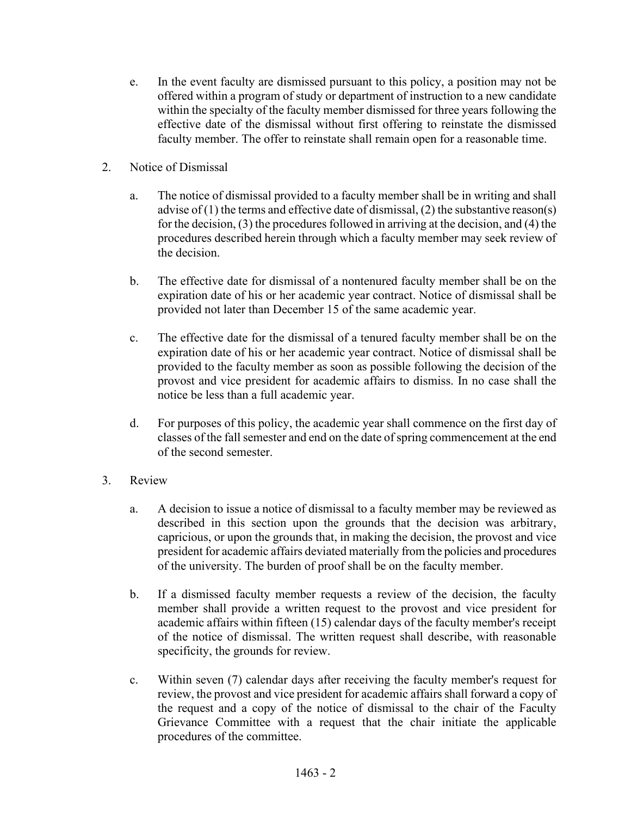- e. In the event faculty are dismissed pursuant to this policy, a position may not be offered within a program of study or department of instruction to a new candidate within the specialty of the faculty member dismissed for three years following the effective date of the dismissal without first offering to reinstate the dismissed faculty member. The offer to reinstate shall remain open for a reasonable time.
- 2. Notice of Dismissal
	- a. The notice of dismissal provided to a faculty member shall be in writing and shall advise of (1) the terms and effective date of dismissal, (2) the substantive reason(s) for the decision, (3) the procedures followed in arriving at the decision, and (4) the procedures described herein through which a faculty member may seek review of the decision.
	- b. The effective date for dismissal of a nontenured faculty member shall be on the expiration date of his or her academic year contract. Notice of dismissal shall be provided not later than December 15 of the same academic year.
	- c. The effective date for the dismissal of a tenured faculty member shall be on the expiration date of his or her academic year contract. Notice of dismissal shall be provided to the faculty member as soon as possible following the decision of the provost and vice president for academic affairs to dismiss. In no case shall the notice be less than a full academic year.
	- d. For purposes of this policy, the academic year shall commence on the first day of classes of the fall semester and end on the date of spring commencement at the end of the second semester.
- 3. Review
	- a. A decision to issue a notice of dismissal to a faculty member may be reviewed as described in this section upon the grounds that the decision was arbitrary, capricious, or upon the grounds that, in making the decision, the provost and vice president for academic affairs deviated materially from the policies and procedures of the university. The burden of proof shall be on the faculty member.
	- b. If a dismissed faculty member requests a review of the decision, the faculty member shall provide a written request to the provost and vice president for academic affairs within fifteen (15) calendar days of the faculty member's receipt of the notice of dismissal. The written request shall describe, with reasonable specificity, the grounds for review.
	- c. Within seven (7) calendar days after receiving the faculty member's request for review, the provost and vice president for academic affairs shall forward a copy of the request and a copy of the notice of dismissal to the chair of the Faculty Grievance Committee with a request that the chair initiate the applicable procedures of the committee.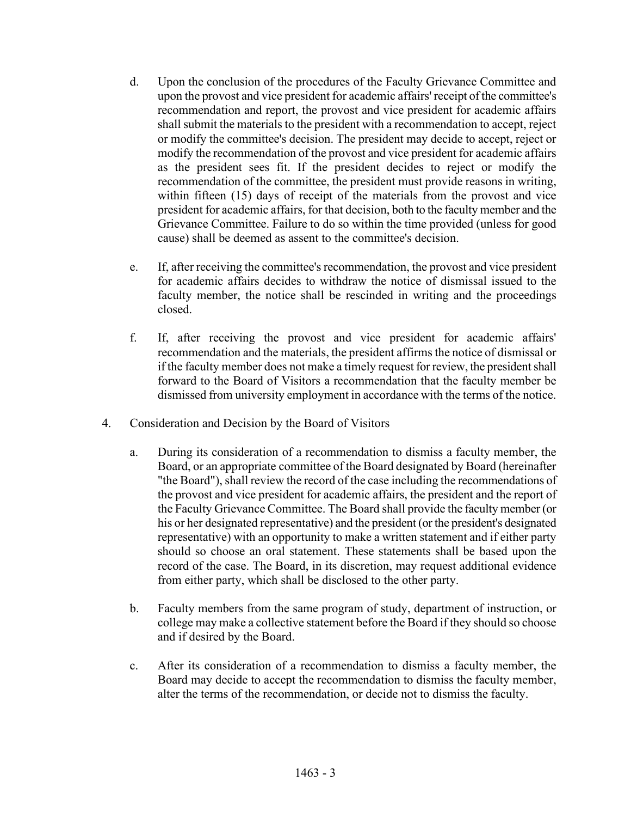- d. Upon the conclusion of the procedures of the Faculty Grievance Committee and upon the provost and vice president for academic affairs' receipt of the committee's recommendation and report, the provost and vice president for academic affairs shall submit the materials to the president with a recommendation to accept, reject or modify the committee's decision. The president may decide to accept, reject or modify the recommendation of the provost and vice president for academic affairs as the president sees fit. If the president decides to reject or modify the recommendation of the committee, the president must provide reasons in writing, within fifteen (15) days of receipt of the materials from the provost and vice president for academic affairs, for that decision, both to the faculty member and the Grievance Committee. Failure to do so within the time provided (unless for good cause) shall be deemed as assent to the committee's decision.
- e. If, after receiving the committee's recommendation, the provost and vice president for academic affairs decides to withdraw the notice of dismissal issued to the faculty member, the notice shall be rescinded in writing and the proceedings closed.
- f. If, after receiving the provost and vice president for academic affairs' recommendation and the materials, the president affirms the notice of dismissal or if the faculty member does not make a timely request for review, the president shall forward to the Board of Visitors a recommendation that the faculty member be dismissed from university employment in accordance with the terms of the notice.
- 4. Consideration and Decision by the Board of Visitors
	- a. During its consideration of a recommendation to dismiss a faculty member, the Board, or an appropriate committee of the Board designated by Board (hereinafter "the Board"), shall review the record of the case including the recommendations of the provost and vice president for academic affairs, the president and the report of the Faculty Grievance Committee. The Board shall provide the faculty member (or his or her designated representative) and the president (or the president's designated representative) with an opportunity to make a written statement and if either party should so choose an oral statement. These statements shall be based upon the record of the case. The Board, in its discretion, may request additional evidence from either party, which shall be disclosed to the other party.
	- b. Faculty members from the same program of study, department of instruction, or college may make a collective statement before the Board if they should so choose and if desired by the Board.
	- c. After its consideration of a recommendation to dismiss a faculty member, the Board may decide to accept the recommendation to dismiss the faculty member, alter the terms of the recommendation, or decide not to dismiss the faculty.